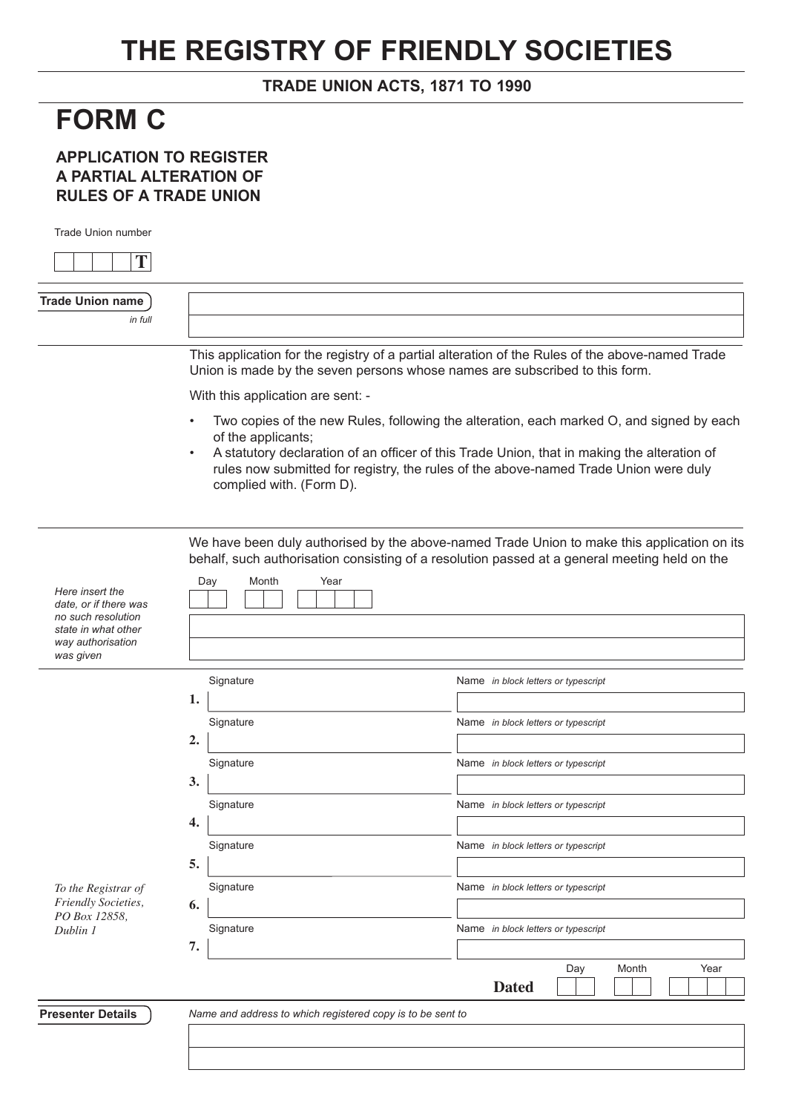## **THE REGISTRY OF FRIENDLY SOCIETIES**

## **TRADE UNION ACTS, 1871 TO 1990**

## **FORM C**

## **APPLICATION TO REGISTER A PARTIAL ALTERATION OF RULES OF A TRADE UNION**

Trade Union number

| T                                                                                                                       |                                                            |                                                                                                                                                                                                                                                                                 |
|-------------------------------------------------------------------------------------------------------------------------|------------------------------------------------------------|---------------------------------------------------------------------------------------------------------------------------------------------------------------------------------------------------------------------------------------------------------------------------------|
| <b>Trade Union name</b><br>in full                                                                                      |                                                            |                                                                                                                                                                                                                                                                                 |
|                                                                                                                         |                                                            | This application for the registry of a partial alteration of the Rules of the above-named Trade<br>Union is made by the seven persons whose names are subscribed to this form.                                                                                                  |
|                                                                                                                         | With this application are sent: -                          |                                                                                                                                                                                                                                                                                 |
|                                                                                                                         | of the applicants;<br>complied with. (Form D).             | Two copies of the new Rules, following the alteration, each marked O, and signed by each<br>A statutory declaration of an officer of this Trade Union, that in making the alteration of<br>rules now submitted for registry, the rules of the above-named Trade Union were duly |
| Here insert the<br>date, or if there was<br>no such resolution<br>state in what other<br>way authorisation<br>was given | Year<br>Day<br>Month                                       | We have been duly authorised by the above-named Trade Union to make this application on its<br>behalf, such authorisation consisting of a resolution passed at a general meeting held on the                                                                                    |
|                                                                                                                         | Signature                                                  | Name in block letters or typescript                                                                                                                                                                                                                                             |
|                                                                                                                         | 1.                                                         |                                                                                                                                                                                                                                                                                 |
|                                                                                                                         | Signature                                                  | Name in block letters or typescript                                                                                                                                                                                                                                             |
|                                                                                                                         | 2.<br>Signature                                            | Name in block letters or typescript                                                                                                                                                                                                                                             |
|                                                                                                                         | 3.                                                         |                                                                                                                                                                                                                                                                                 |
|                                                                                                                         | Signature<br>4.                                            | Name in block letters or typescript                                                                                                                                                                                                                                             |
|                                                                                                                         | Signature<br>5.                                            | Name in block letters or typescript                                                                                                                                                                                                                                             |
| To the Registrar of<br>Friendly Societies,                                                                              | Signature<br>6.                                            | Name in block letters or typescript                                                                                                                                                                                                                                             |
| PO Box 12858,<br>Dublin 1                                                                                               | Signature<br>7.                                            | Name in block letters or typescript                                                                                                                                                                                                                                             |
|                                                                                                                         |                                                            | Day<br>Month<br>Year<br><b>Dated</b>                                                                                                                                                                                                                                            |
| <b>Presenter Details</b>                                                                                                | Name and address to which registered copy is to be sent to |                                                                                                                                                                                                                                                                                 |
|                                                                                                                         |                                                            |                                                                                                                                                                                                                                                                                 |
|                                                                                                                         |                                                            |                                                                                                                                                                                                                                                                                 |